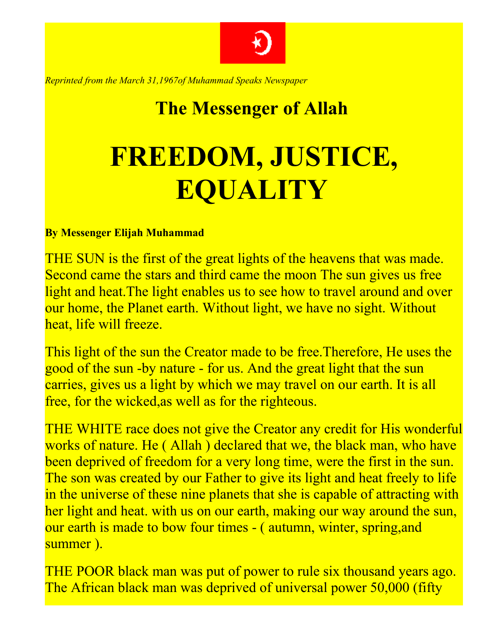

*Reprinted from the March 31,1967of Muhammad Speaks Newspaper*

## **The Messenger of Allah**

## **FREEDOM, JUSTICE, EQUALITY**

## **By Messenger Elijah Muhammad**

THE SUN is the first of the great lights of the heavens that was made. Second came the stars and third came the moon The sun gives us free light and heat.The light enables us to see how to travel around and over our home, the Planet earth. Without light, we have no sight. Without heat, life will freeze.

This light of the sun the Creator made to be free.Therefore, He uses the good of the sun -by nature - for us. And the great light that the sun carries, gives us a light by which we may travel on our earth. It is all free, for the wicked,as well as for the righteous.

THE WHITE race does not give the Creator any credit for His wonderful works of nature. He ( Allah ) declared that we, the black man, who have been deprived of freedom for a very long time, were the first in the sun. The son was created by our Father to give its light and heat freely to life in the universe of these nine planets that she is capable of attracting with her light and heat. with us on our earth, making our way around the sun, our earth is made to bow four times - ( autumn, winter, spring,and summer).

THE POOR black man was put of power to rule six thousand years ago. The African black man was deprived of universal power 50,000 (fifty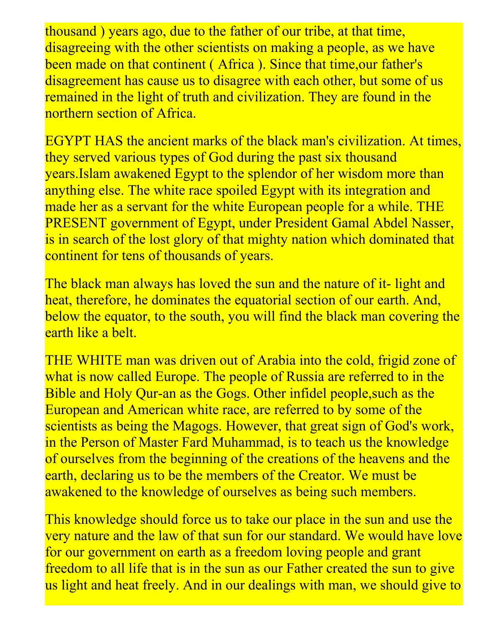thousand ) years ago, due to the father of our tribe, at that time, disagreeing with the other scientists on making a people, as we have been made on that continent (Africa). Since that time, our father's disagreement has cause us to disagree with each other, but some of us remained in the light of truth and civilization. They are found in the northern section of Africa

EGYPT HAS the ancient marks of the black man's civilization. At times, they served various types of God during the past six thousand years.Islam awakened Egypt to the splendor of her wisdom more than anything else. The white race spoiled Egypt with its integration and made her as a servant for the white European people for a while. THE PRESENT government of Egypt, under President Gamal Abdel Nasser, is in search of the lost glory of that mighty nation which dominated that continent for tens of thousands of years.

The black man always has loved the sun and the nature of it- light and heat, therefore, he dominates the equatorial section of our earth. And, below the equator, to the south, you will find the black man covering the earth like a belt.

THE WHITE man was driven out of Arabia into the cold, frigid zone of what is now called Europe. The people of Russia are referred to in the Bible and Holy Qur-an as the Gogs. Other infidel people,such as the European and American white race, are referred to by some of the scientists as being the Magogs. However, that great sign of God's work, in the Person of Master Fard Muhammad, is to teach us the knowledge of ourselves from the beginning of the creations of the heavens and the earth, declaring us to be the members of the Creator. We must be awakened to the knowledge of ourselves as being such members.

This knowledge should force us to take our place in the sun and use the very nature and the law of that sun for our standard. We would have love for our government on earth as a freedom loving people and grant freedom to all life that is in the sun as our Father created the sun to give us light and heat freely. And in our dealings with man, we should give to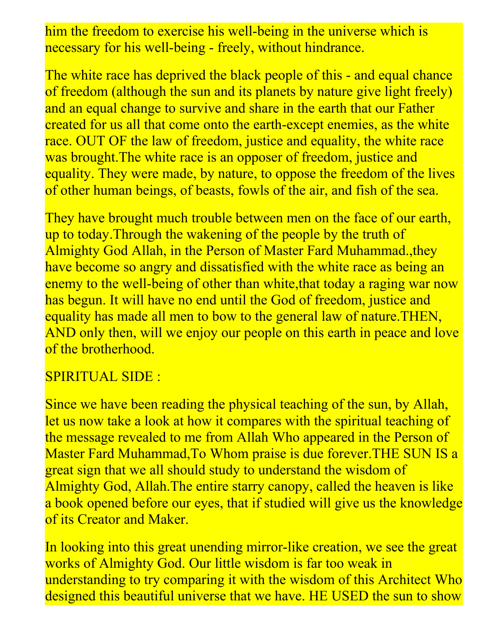him the freedom to exercise his well-being in the universe which is necessary for his well-being - freely, without hindrance.

The white race has deprived the black people of this - and equal chance of freedom (although the sun and its planets by nature give light freely) and an equal change to survive and share in the earth that our Father created for us all that come onto the earth-except enemies, as the white race. OUT OF the law of freedom, justice and equality, the white race was brought. The white race is an opposer of freedom, justice and equality. They were made, by nature, to oppose the freedom of the lives of other human beings, of beasts, fowls of the air, and fish of the sea.

They have brought much trouble between men on the face of our earth, up to today. Through the wakening of the people by the truth of Almighty God Allah, in the Person of Master Fard Muhammad.,they have become so angry and dissatisfied with the white race as being an enemy to the well-being of other than white,that today a raging war now has begun. It will have no end until the God of freedom, justice and equality has made all men to bow to the general law of nature.THEN, AND only then, will we enjoy our people on this earth in peace and love of the brotherhood.

## SPIRITUAL SIDE :

Since we have been reading the physical teaching of the sun, by Allah, let us now take a look at how it compares with the spiritual teaching of the message revealed to me from Allah Who appeared in the Person of Master Fard Muhammad,To Whom praise is due forever.THE SUN IS a great sign that we all should study to understand the wisdom of Almighty God, Allah.The entire starry canopy, called the heaven is like a book opened before our eyes, that if studied will give us the knowledge of its Creator and Maker.

In looking into this great unending mirror-like creation, we see the great works of Almighty God. Our little wisdom is far too weak in understanding to try comparing it with the wisdom of this Architect Who designed this beautiful universe that we have. HE USED the sun to show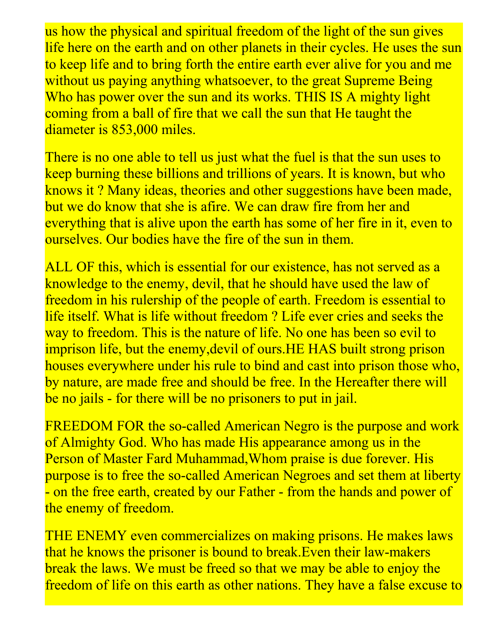us how the physical and spiritual freedom of the light of the sun gives life here on the earth and on other planets in their cycles. He uses the sun to keep life and to bring forth the entire earth ever alive for you and me without us paying anything whatsoever, to the great Supreme Being Who has power over the sun and its works. THIS IS A mighty light coming from a ball of fire that we call the sun that He taught the diameter is 853,000 miles.

There is no one able to tell us just what the fuel is that the sun uses to keep burning these billions and trillions of years. It is known, but who knows it ? Many ideas, theories and other suggestions have been made, but we do know that she is afire. We can draw fire from her and everything that is alive upon the earth has some of her fire in it, even to ourselves. Our bodies have the fire of the sun in them.

ALL OF this, which is essential for our existence, has not served as a knowledge to the enemy, devil, that he should have used the law of freedom in his rulership of the people of earth. Freedom is essential to life itself. What is life without freedom ? Life ever cries and seeks the way to freedom. This is the nature of life. No one has been so evil to imprison life, but the enemy,devil of ours.HE HAS built strong prison houses everywhere under his rule to bind and cast into prison those who, by nature, are made free and should be free. In the Hereafter there will be no jails - for there will be no prisoners to put in jail.

FREEDOM FOR the so-called American Negro is the purpose and work of Almighty God. Who has made His appearance among us in the Person of Master Fard Muhammad,Whom praise is due forever. His purpose is to free the so-called American Negroes and set them at liberty - on the free earth, created by our Father - from the hands and power of the enemy of freedom.

THE ENEMY even commercializes on making prisons. He makes laws that he knows the prisoner is bound to break.Even their law-makers break the laws. We must be freed so that we may be able to enjoy the freedom of life on this earth as other nations. They have a false excuse to